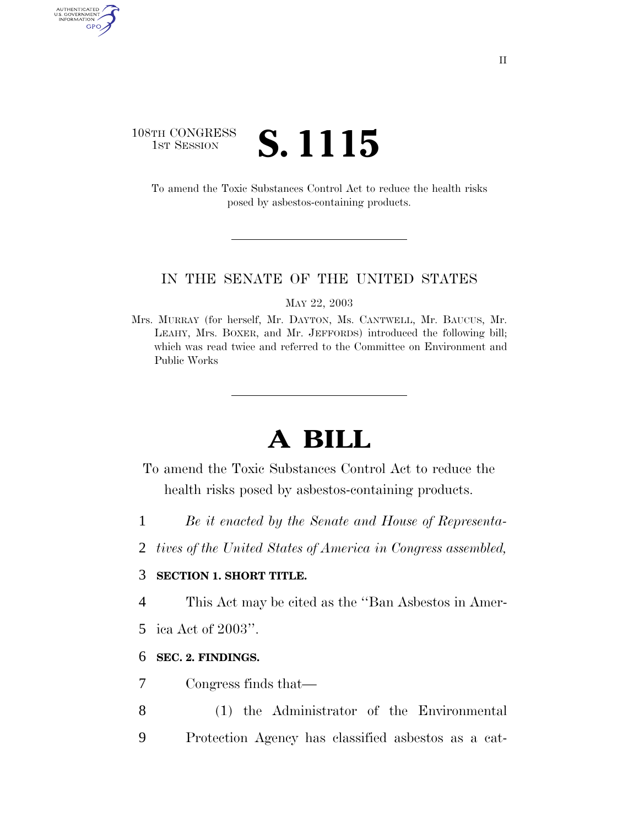### 108TH CONGRESS **1ST SESSION S. 1115**

AUTHENTICATED<br>U.S. GOVERNMENT<br>INFORMATION GPO

> To amend the Toxic Substances Control Act to reduce the health risks posed by asbestos-containing products.

#### IN THE SENATE OF THE UNITED STATES

MAY 22, 2003

Mrs. MURRAY (for herself, Mr. DAYTON, Ms. CANTWELL, Mr. BAUCUS, Mr. LEAHY, Mrs. BOXER, and Mr. JEFFORDS) introduced the following bill; which was read twice and referred to the Committee on Environment and Public Works

# **A BILL**

- To amend the Toxic Substances Control Act to reduce the health risks posed by asbestos-containing products.
- 1 *Be it enacted by the Senate and House of Representa-*
- 2 *tives of the United States of America in Congress assembled,*

#### 3 **SECTION 1. SHORT TITLE.**

- 4 This Act may be cited as the ''Ban Asbestos in Amer-
- 5 ica Act of 2003''.

#### 6 **SEC. 2. FINDINGS.**

- 7 Congress finds that—
- 8 (1) the Administrator of the Environmental 9 Protection Agency has classified asbestos as a cat-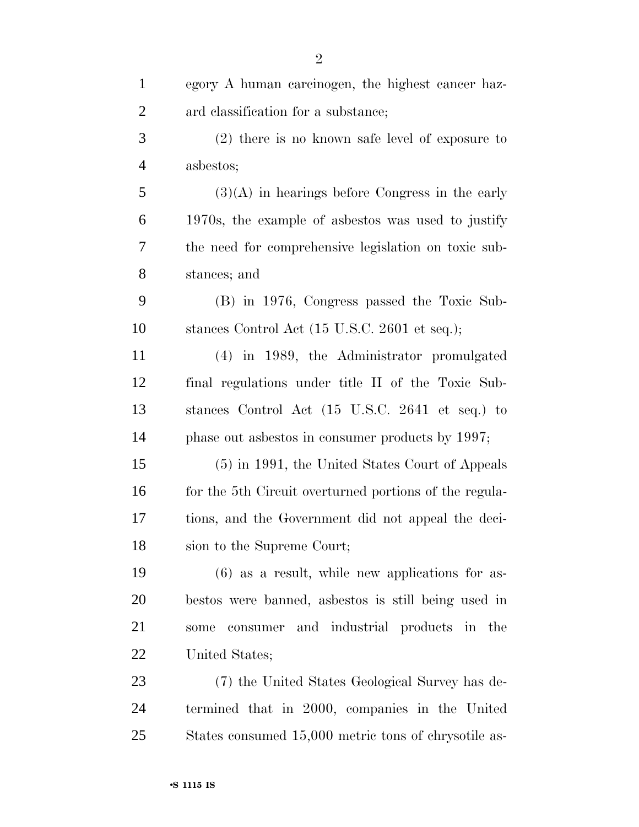| $\mathbf{1}$   | egory A human carcinogen, the highest cancer haz-      |
|----------------|--------------------------------------------------------|
| $\overline{2}$ | ard classification for a substance;                    |
| 3              | $(2)$ there is no known safe level of exposure to      |
| $\overline{4}$ | asbestos;                                              |
| 5              | $(3)(A)$ in hearings before Congress in the early      |
| 6              | 1970s, the example of asbestos was used to justify     |
| 7              | the need for comprehensive legislation on toxic sub-   |
| 8              | stances; and                                           |
| 9              | (B) in 1976, Congress passed the Toxic Sub-            |
| 10             | stances Control Act (15 U.S.C. 2601 et seq.);          |
| 11             | (4) in 1989, the Administrator promulgated             |
| 12             | final regulations under title II of the Toxic Sub-     |
| 13             | stances Control Act (15 U.S.C. 2641 et seq.) to        |
| 14             | phase out asbestos in consumer products by 1997;       |
| 15             | (5) in 1991, the United States Court of Appeals        |
| 16             | for the 5th Circuit overturned portions of the regula- |
| 17             | tions, and the Government did not appeal the deci-     |
| 18             | sion to the Supreme Court;                             |
| 19             | $(6)$ as a result, while new applications for as-      |
| 20             | bestos were banned, as bestos is still being used in   |
| 21             | consumer and industrial products in the<br>some        |
| 22             | United States;                                         |
| 23             | (7) the United States Geological Survey has de-        |
| 24             | termined that in 2000, companies in the United         |
| 25             | States consumed 15,000 metric tons of chrysotile as-   |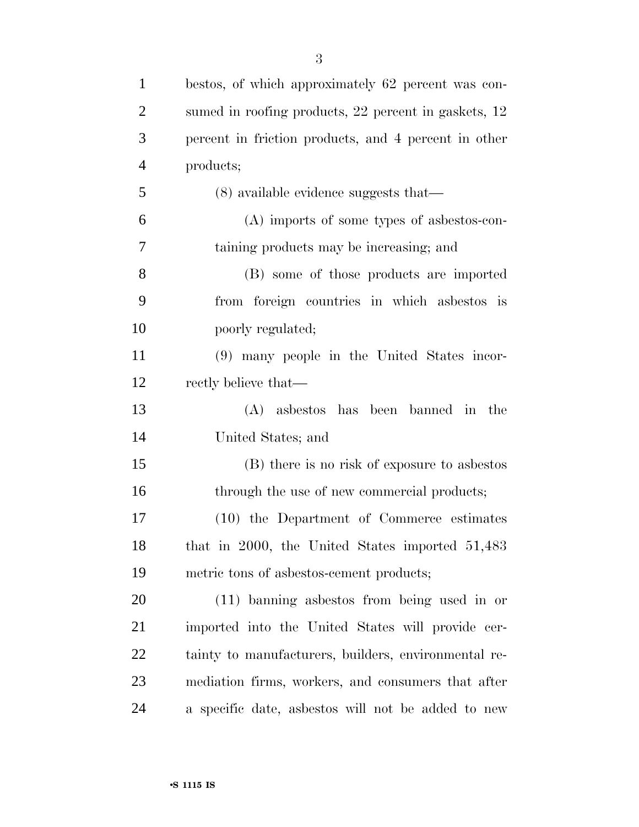| $\mathbf{1}$   | bestos, of which approximately 62 percent was con-   |
|----------------|------------------------------------------------------|
| $\overline{2}$ | sumed in roofing products, 22 percent in gaskets, 12 |
| 3              | percent in friction products, and 4 percent in other |
| $\overline{4}$ | products;                                            |
| 5              | $(8)$ available evidence suggests that—              |
| 6              | (A) imports of some types of asbestos-con-           |
| 7              | taining products may be increasing; and              |
| $8\phantom{1}$ | (B) some of those products are imported              |
| 9              | from foreign countries in which asbestos is          |
| 10             | poorly regulated;                                    |
| 11             | (9) many people in the United States incor-          |
| 12             | rectly believe that—                                 |
| 13             | (A) asbestos has been banned in the                  |
| 14             | United States; and                                   |
| 15             | (B) there is no risk of exposure to asbestos         |
| 16             | through the use of new commercial products;          |
| 17             | (10) the Department of Commerce estimates            |
| 18             | that in 2000, the United States imported 51,483      |
| 19             | metric tons of asbestos-cement products;             |
| 20             | $(11)$ banning as best os from being used in or      |
| 21             | imported into the United States will provide cer-    |
| 22             | tainty to manufacturers, builders, environmental re- |
| 23             | mediation firms, workers, and consumers that after   |
| 24             | a specific date, as best os will not be added to new |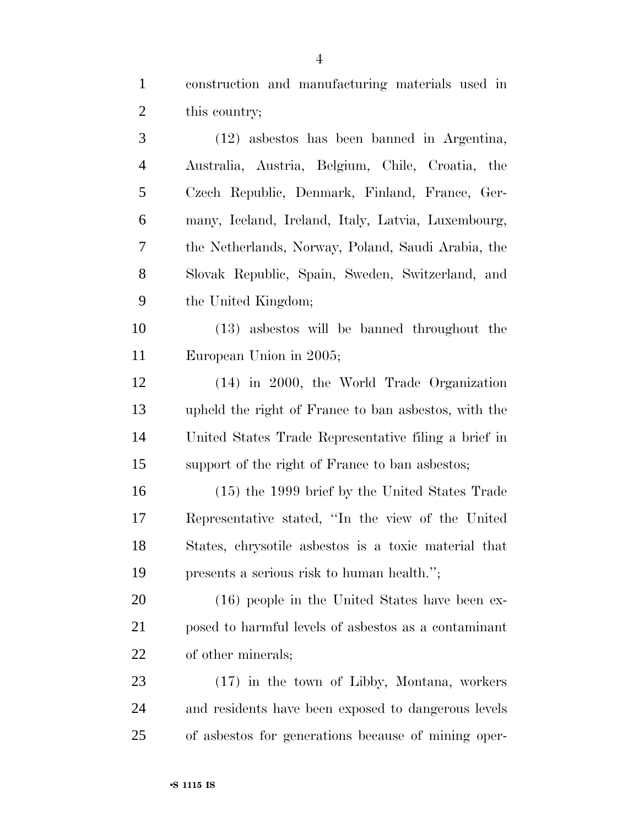construction and manufacturing materials used in this country;

 (12) asbestos has been banned in Argentina, Australia, Austria, Belgium, Chile, Croatia, the Czech Republic, Denmark, Finland, France, Ger- many, Iceland, Ireland, Italy, Latvia, Luxembourg, the Netherlands, Norway, Poland, Saudi Arabia, the Slovak Republic, Spain, Sweden, Switzerland, and the United Kingdom;

 (13) asbestos will be banned throughout the European Union in 2005;

 (14) in 2000, the World Trade Organization upheld the right of France to ban asbestos, with the United States Trade Representative filing a brief in support of the right of France to ban asbestos;

 (15) the 1999 brief by the United States Trade Representative stated, ''In the view of the United States, chrysotile asbestos is a toxic material that presents a serious risk to human health.'';

 (16) people in the United States have been ex- posed to harmful levels of asbestos as a contaminant of other minerals;

 (17) in the town of Libby, Montana, workers and residents have been exposed to dangerous levels of asbestos for generations because of mining oper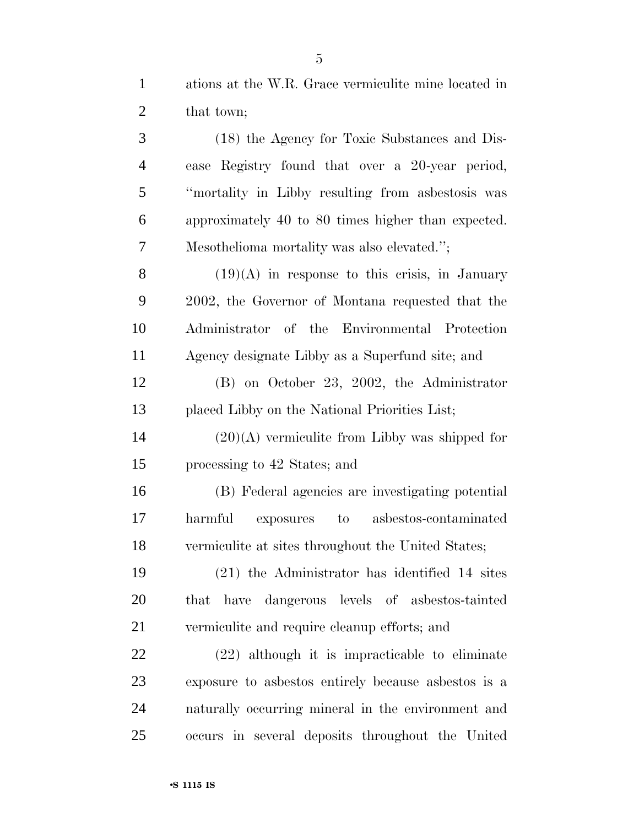ations at the W.R. Grace vermiculite mine located in 2 that town;

 (18) the Agency for Toxic Substances and Dis- ease Registry found that over a 20-year period, ''mortality in Libby resulting from asbestosis was approximately 40 to 80 times higher than expected. Mesothelioma mortality was also elevated.'';  $(19)(A)$  in response to this crisis, in January 2002, the Governor of Montana requested that the Administrator of the Environmental Protection Agency designate Libby as a Superfund site; and (B) on October 23, 2002, the Administrator placed Libby on the National Priorities List;  $14 \hspace{1.5cm} (20)(A)$  vermiculite from Libby was shipped for processing to 42 States; and (B) Federal agencies are investigating potential harmful exposures to asbestos-contaminated vermiculite at sites throughout the United States; (21) the Administrator has identified 14 sites that have dangerous levels of asbestos-tainted vermiculite and require cleanup efforts; and (22) although it is impracticable to eliminate exposure to asbestos entirely because asbestos is a

 naturally occurring mineral in the environment and occurs in several deposits throughout the United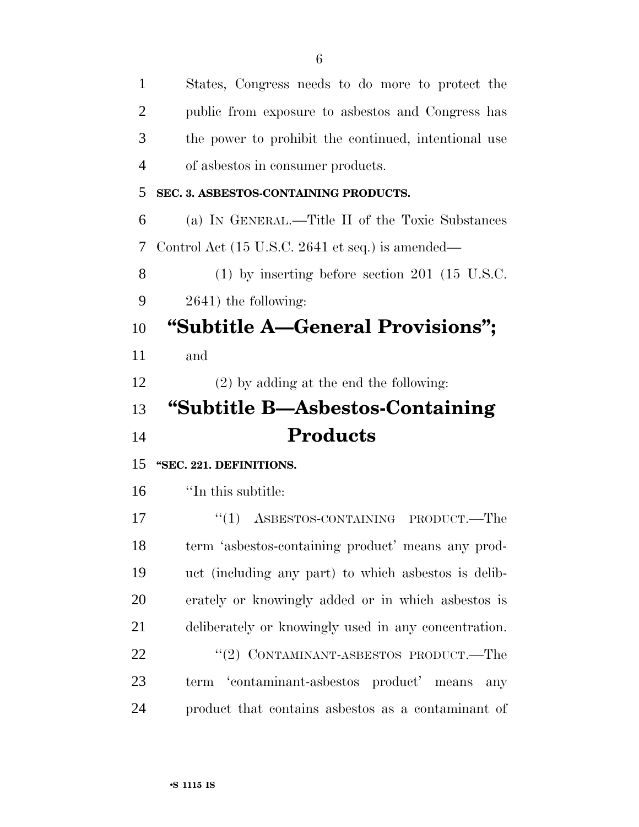| $\mathbf{1}$   | States, Congress needs to do more to protect the       |
|----------------|--------------------------------------------------------|
| 2              | public from exposure to asbestos and Congress has      |
| 3              | the power to prohibit the continued, intentional use   |
| $\overline{4}$ | of asbestos in consumer products.                      |
| 5              | SEC. 3. ASBESTOS-CONTAINING PRODUCTS.                  |
| 6              | (a) IN GENERAL.—Title II of the Toxic Substances       |
| 7              | Control Act (15 U.S.C. 2641 et seq.) is amended—       |
| 8              | $(1)$ by inserting before section 201 (15 U.S.C.       |
| 9              | $2641$ ) the following:                                |
| 10             | "Subtitle A—General Provisions";                       |
| 11             | and                                                    |
| 12             | $(2)$ by adding at the end the following:              |
|                |                                                        |
| 13             | "Subtitle B-Asbestos-Containing                        |
| 14             | <b>Products</b>                                        |
| 15             | "SEC. 221. DEFINITIONS.                                |
| 16             | "In this subtitle:                                     |
| 17             | ASBESTOS-CONTAINING PRODUCT.—The<br>``(1)              |
| 18             | term 'asbestos-containing product' means any prod-     |
| 19             | uct (including any part) to which as best os is delib- |
| 20             | erately or knowingly added or in which as best os is   |
| 21             | deliberately or knowingly used in any concentration.   |
| 22             | "(2) CONTAMINANT-ASBESTOS PRODUCT.—The                 |
| 23             | term 'contaminant-asbestos product' means<br>any       |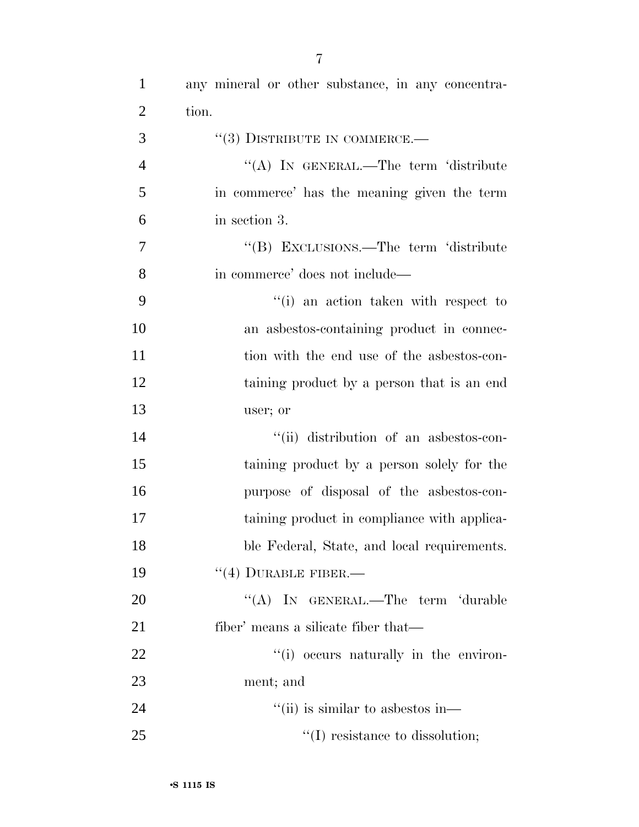| $\mathbf{1}$   | any mineral or other substance, in any concentra- |
|----------------|---------------------------------------------------|
| $\overline{2}$ | tion.                                             |
| 3              | $``(3)$ DISTRIBUTE IN COMMERCE.—                  |
| $\overline{4}$ | "(A) IN GENERAL.—The term 'distribute             |
| 5              | in commerce' has the meaning given the term       |
| 6              | in section 3.                                     |
| $\overline{7}$ | "(B) EXCLUSIONS.—The term 'distribute             |
| 8              | in commerce' does not include—                    |
| 9              | "(i) an action taken with respect to              |
| 10             | an asbestos-containing product in connec-         |
| 11             | tion with the end use of the asbestos-con-        |
| 12             | taining product by a person that is an end        |
| 13             | user; or                                          |
| 14             | "(ii) distribution of an asbestos-con-            |
| 15             | taining product by a person solely for the        |
| 16             | purpose of disposal of the asbestos-con-          |
| 17             | taining product in compliance with applica-       |
| 18             | ble Federal, State, and local requirements.       |
| 19             | $``(4)$ DURABLE FIBER.—                           |
| 20             | "(A) IN GENERAL.—The term 'durable                |
| 21             | fiber' means a silicate fiber that—               |
| 22             | "(i) occurs naturally in the environ-             |
| 23             | ment; and                                         |
| 24             | "(ii) is similar to asbestos in—                  |
| 25             | $\lq\lq$ resistance to dissolution;               |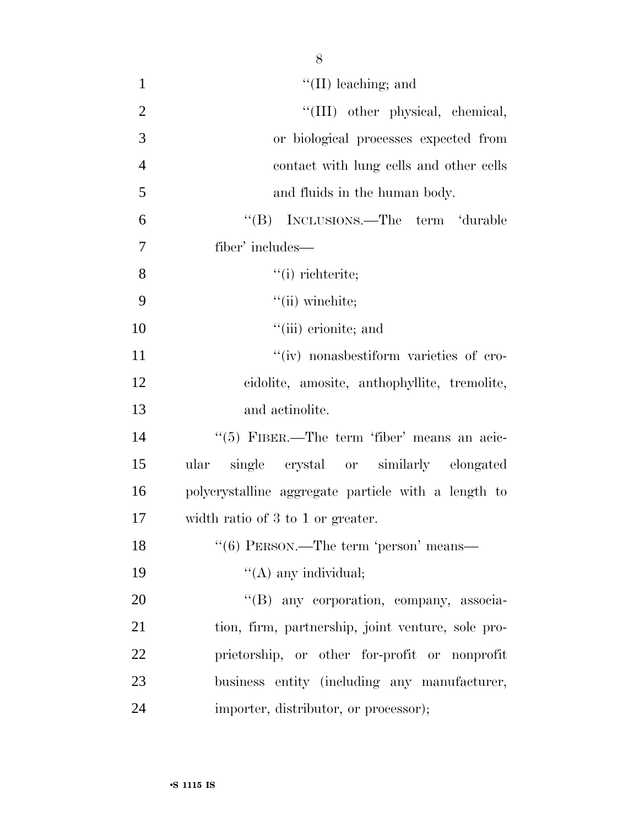| $\mathbf{1}$   | $\lq\lq$ (II) leaching; and                         |
|----------------|-----------------------------------------------------|
| $\overline{2}$ | "(III) other physical, chemical,                    |
| 3              | or biological processes expected from               |
| $\overline{4}$ | contact with lung cells and other cells             |
| 5              | and fluids in the human body.                       |
| 6              | "(B) INCLUSIONS.—The term 'durable                  |
| 7              | fiber' includes—                                    |
| 8              | $"$ (i) richterite;                                 |
| 9              | $"$ (ii) winchite;                                  |
| 10             | $\lq\lq$ (iii) erionite; and                        |
| 11             | "(iv) nonasbestiform varieties of cro-              |
| 12             | cidolite, amosite, anthophyllite, tremolite,        |
| 13             | and actinolite.                                     |
| 14             | "(5) FIBER.—The term 'fiber' means an acic-         |
| 15             | single crystal or similarly elongated<br>ular       |
| 16             | polycrystalline aggregate particle with a length to |
| 17             | width ratio of 3 to 1 or greater.                   |
| 18             | $``(6)$ PERSON.—The term 'person' means—            |
| 19             | $\lq\lq$ (A) any individual;                        |
| 20             | "(B) any corporation, company, associa-             |
| 21             | tion, firm, partnership, joint venture, sole pro-   |
| 22             | prietorship, or other for-profit or nonprofit       |
| 23             | business entity (including any manufacturer,        |
| 24             | importer, distributor, or processor);               |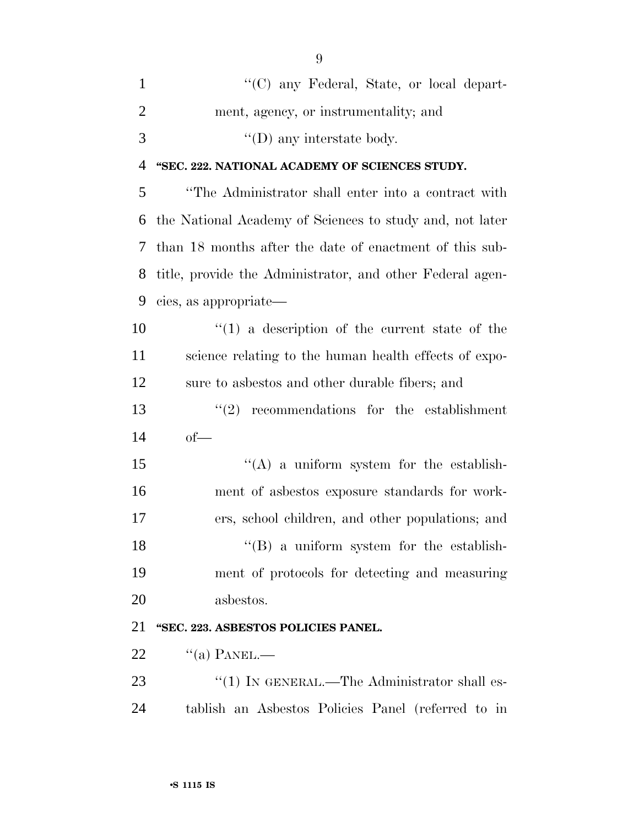| $\mathbf{1}$   | "(C) any Federal, State, or local depart-                 |
|----------------|-----------------------------------------------------------|
| $\overline{2}$ | ment, agency, or instrumentality; and                     |
| 3              | $\lq\lq$ (D) any interstate body.                         |
| 4              | "SEC. 222. NATIONAL ACADEMY OF SCIENCES STUDY.            |
| 5              | "The Administrator shall enter into a contract with       |
| 6              | the National Academy of Sciences to study and, not later  |
| 7              | than 18 months after the date of enactment of this sub-   |
| 8              | title, provide the Administrator, and other Federal agen- |
| 9              | cies, as appropriate—                                     |
| 10             | $\lq(1)$ a description of the current state of the        |
| 11             | science relating to the human health effects of expo-     |
| 12             | sure to asbestos and other durable fibers; and            |
| 13             | (2)<br>recommendations for the establishment              |
| 14             | $of-$                                                     |
| 15             | "(A) a uniform system for the establish-                  |
| 16             | ment of asbestos exposure standards for work-             |
| 17             | ers, school children, and other populations; and          |
| 18             | $\lq\lq$ a uniform system for the establish-              |
| 19             | ment of protocols for detecting and measuring             |
| 20             | asbestos.                                                 |
| 21             | "SEC. 223. ASBESTOS POLICIES PANEL.                       |
| 22             | $\lq($ a) PANEL.—                                         |
| 23             | $\lq(1)$ IN GENERAL.—The Administrator shall es-          |
| 24             | tablish an Asbestos Policies Panel (referred to in        |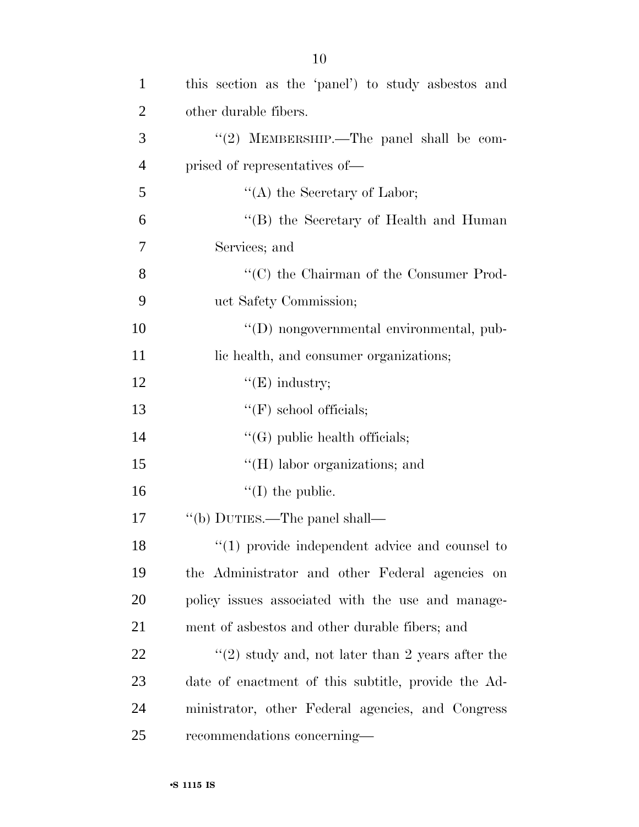| $\mathbf{1}$   | this section as the 'panel') to study asbestos and               |
|----------------|------------------------------------------------------------------|
| $\overline{2}$ | other durable fibers.                                            |
| 3              | "(2) MEMBERSHIP.—The panel shall be com-                         |
| $\overline{4}$ | prised of representatives of—                                    |
| 5              | "(A) the Secretary of Labor;                                     |
| 6              | "(B) the Secretary of Health and Human                           |
| 7              | Services; and                                                    |
| 8              | "(C) the Chairman of the Consumer Prod-                          |
| 9              | uct Safety Commission;                                           |
| 10             | "(D) nongovernmental environmental, pub-                         |
| 11             | lic health, and consumer organizations;                          |
| 12             | $\lq\lq(E)$ industry;                                            |
| 13             | $\lq\lq(F)$ school officials;                                    |
| 14             | $\lq\lq(G)$ public health officials;                             |
| 15             | $\lq\lq$ (H) labor organizations; and                            |
| 16             | $\lq\lq$ (I) the public.                                         |
| 17             | "(b) DUTIES.—The panel shall—                                    |
| 18             | $\lq(1)$ provide independent advice and counsel to               |
| 19             | the Administrator and other Federal agencies on                  |
| 20             | policy issues associated with the use and manage-                |
| 21             | ment of asbestos and other durable fibers; and                   |
| 22             | $\cdot\cdot\cdot(2)$ study and, not later than 2 years after the |
| 23             | date of enactment of this subtitle, provide the Ad-              |
| 24             | ministrator, other Federal agencies, and Congress                |
| 25             | recommendations concerning—                                      |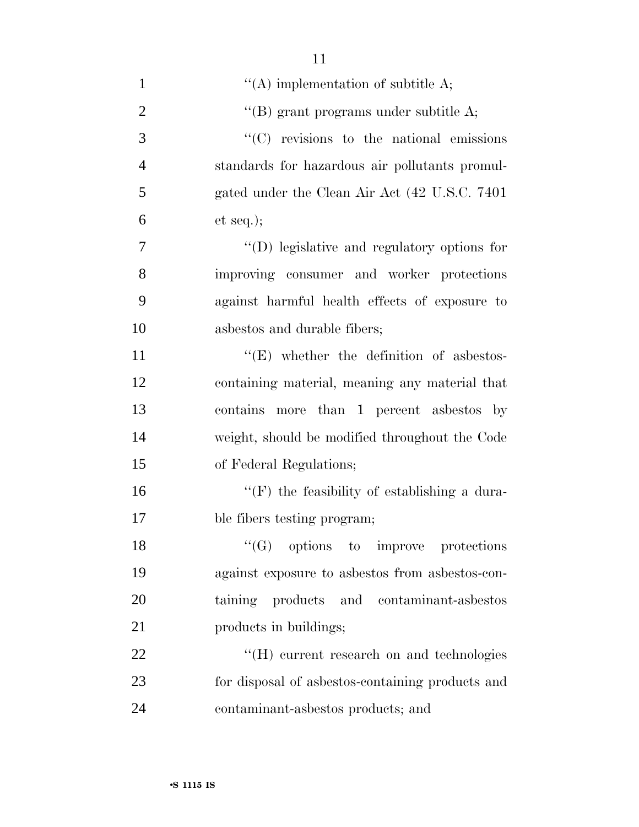| $\mathbf{1}$   | "(A) implementation of subtitle $A$ ;               |
|----------------|-----------------------------------------------------|
| $\overline{2}$ | "(B) grant programs under subtitle $A$ ;            |
| 3              | $\cdot$ (C) revisions to the national emissions     |
| $\overline{4}$ | standards for hazardous air pollutants promul-      |
| 5              | gated under the Clean Air Act (42 U.S.C. 7401)      |
| 6              | et seq.);                                           |
| 7              | $\lq\lq$ (D) legislative and regulatory options for |
| 8              | improving consumer and worker protections           |
| 9              | against harmful health effects of exposure to       |
| 10             | asbestos and durable fibers;                        |
| 11             | $\lq\lq$ . Whether the definition of asbestos-      |
| 12             | containing material, meaning any material that      |
| 13             | contains more than 1 percent asbestos by            |
| 14             | weight, should be modified throughout the Code      |
| 15             | of Federal Regulations;                             |
| 16             | $\lq\lq(F)$ the feasibility of establishing a dura- |
| 17             | ble fibers testing program;                         |
| 18             | $\lq\lq (G)$ options to improve protections         |
| 19             | against exposure to asbestos from asbestos-con-     |
| 20             | taining products and contaminant-asbestos           |
| 21             | products in buildings;                              |
| 22             | "(H) current research on and technologies           |
| 23             | for disposal of asbestos-containing products and    |
| 24             | contaminant-asbestos products; and                  |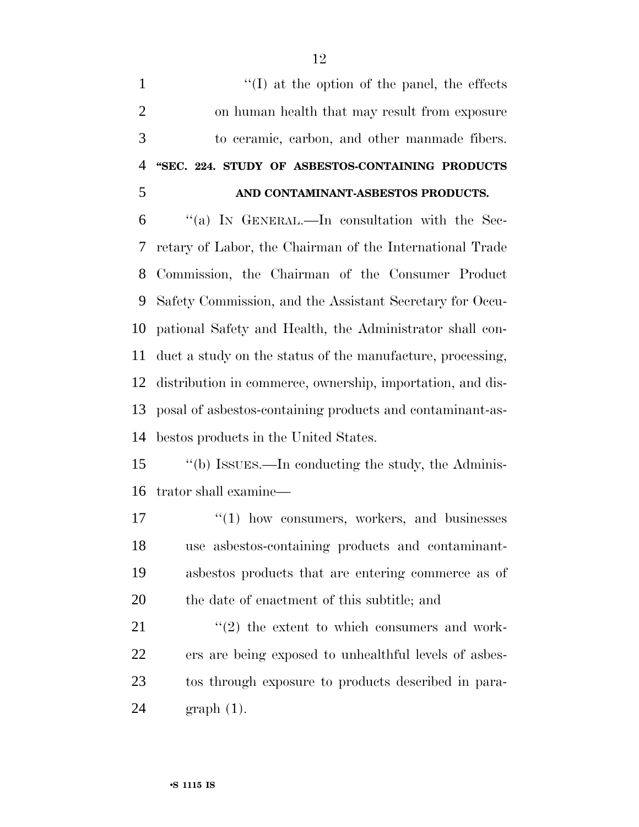$\langle (I) \rangle$  at the option of the panel, the effects on human health that may result from exposure to ceramic, carbon, and other manmade fibers. **''SEC. 224. STUDY OF ASBESTOS-CONTAINING PRODUCTS AND CONTAMINANT-ASBESTOS PRODUCTS.** ''(a) IN GENERAL.—In consultation with the Sec- retary of Labor, the Chairman of the International Trade Commission, the Chairman of the Consumer Product Safety Commission, and the Assistant Secretary for Occu- pational Safety and Health, the Administrator shall con- duct a study on the status of the manufacture, processing, distribution in commerce, ownership, importation, and dis- posal of asbestos-containing products and contaminant-as-bestos products in the United States.

 ''(b) ISSUES.—In conducting the study, the Adminis-trator shall examine—

17 <sup>''</sup>(1) how consumers, workers, and businesses use asbestos-containing products and contaminant- asbestos products that are entering commerce as of the date of enactment of this subtitle; and

 $\langle \cdot (2) \rangle$  the extent to which consumers and work- ers are being exposed to unhealthful levels of asbes- tos through exposure to products described in para-graph (1).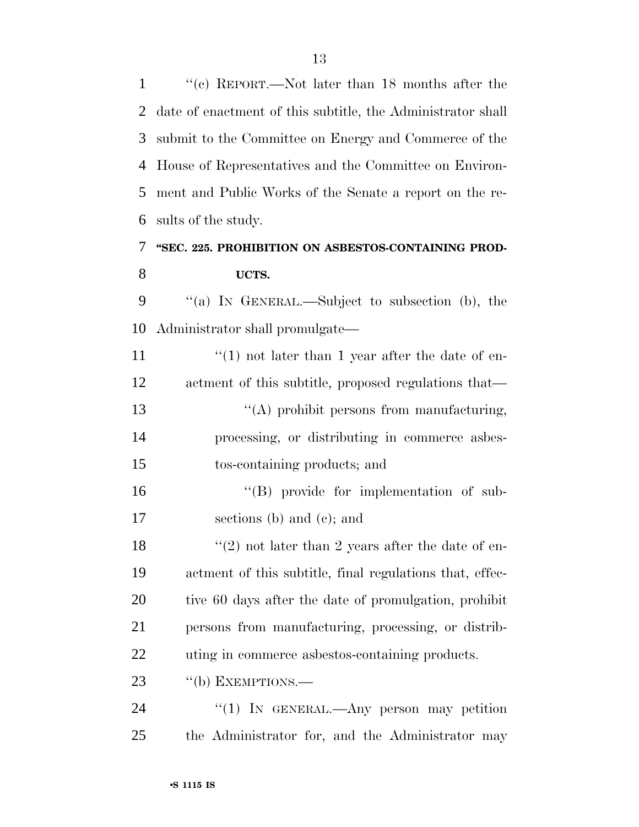''(c) REPORT.—Not later than 18 months after the date of enactment of this subtitle, the Administrator shall submit to the Committee on Energy and Commerce of the House of Representatives and the Committee on Environ- ment and Public Works of the Senate a report on the re-sults of the study.

## **''SEC. 225. PROHIBITION ON ASBESTOS-CONTAINING PROD-UCTS.**

 ''(a) IN GENERAL.—Subject to subsection (b), the Administrator shall promulgate—

 $\frac{1}{2}$  (1) not later than 1 year after the date of en- actment of this subtitle, proposed regulations that— ''(A) prohibit persons from manufacturing, processing, or distributing in commerce asbes-tos-containing products; and

 ''(B) provide for implementation of sub-sections (b) and (c); and

 $\frac{1}{2}$  not later than 2 years after the date of en- actment of this subtitle, final regulations that, effec- tive 60 days after the date of promulgation, prohibit persons from manufacturing, processing, or distrib-uting in commerce asbestos-containing products.

23 "(b) EXEMPTIONS.—

24 "(1) IN GENERAL.—Any person may petition the Administrator for, and the Administrator may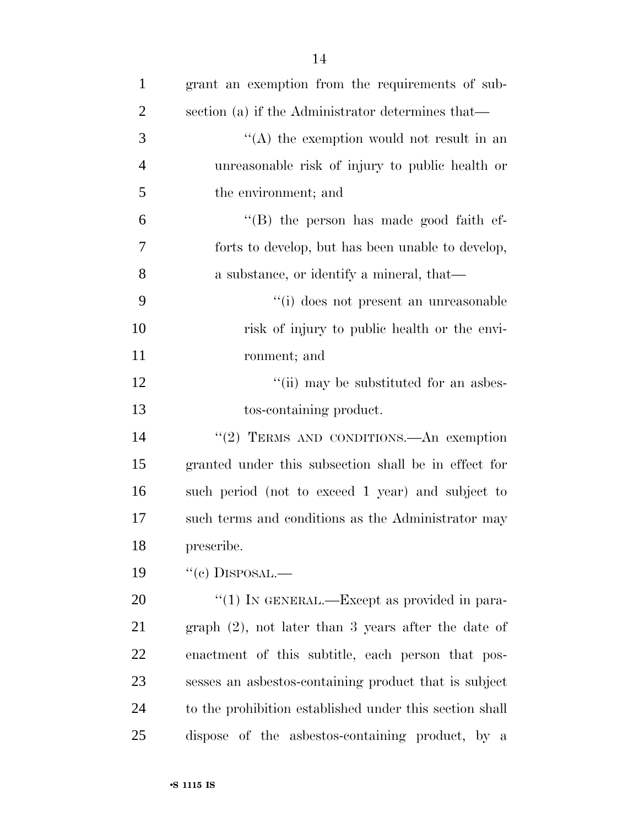| $\mathbf{1}$   | grant an exemption from the requirements of sub-        |
|----------------|---------------------------------------------------------|
| $\overline{2}$ | section (a) if the Administrator determines that—       |
| 3              | $\lq\lq$ the exemption would not result in an           |
| $\overline{4}$ | unreasonable risk of injury to public health or         |
| 5              | the environment; and                                    |
| 6              | "(B) the person has made good faith ef-                 |
| 7              | forts to develop, but has been unable to develop,       |
| 8              | a substance, or identify a mineral, that—               |
| 9              | "(i) does not present an unreasonable                   |
| 10             | risk of injury to public health or the envi-            |
| 11             | ronment; and                                            |
| 12             | "(ii) may be substituted for an asbes-                  |
| 13             | tos-containing product.                                 |
| 14             | "(2) TERMS AND CONDITIONS.—An exemption                 |
| 15             | granted under this subsection shall be in effect for    |
| 16             | such period (not to exceed 1 year) and subject to       |
| 17             | such terms and conditions as the Administrator may      |
| 18             | prescribe.                                              |
| 19             | $``(e)$ DISPOSAL.—                                      |
| 20             | "(1) IN GENERAL.—Except as provided in para-            |
| 21             | $graph (2)$ , not later than 3 years after the date of  |
| 22             | enactment of this subtitle, each person that pos-       |
| 23             | sesses an asbestos-containing product that is subject   |
| 24             | to the prohibition established under this section shall |
| 25             | dispose of the asbestos-containing product, by a        |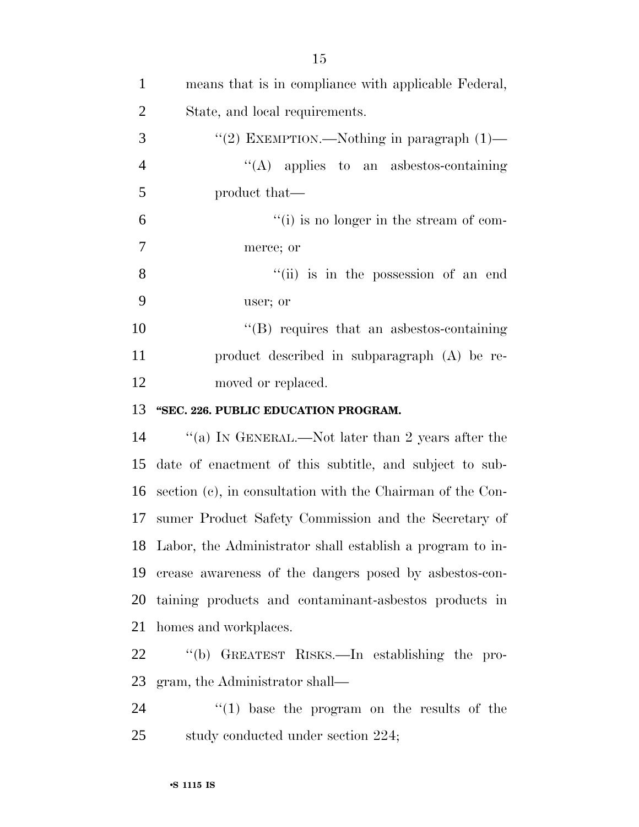| $\mathbf{1}$   | means that is in compliance with applicable Federal,         |
|----------------|--------------------------------------------------------------|
| $\overline{2}$ | State, and local requirements.                               |
| 3              | "(2) EXEMPTION.—Nothing in paragraph $(1)$ —                 |
| $\overline{4}$ | $\lq\lq$ applies to an asbestos-containing                   |
| $\mathfrak{S}$ | product that—                                                |
| 6              | $``(i)$ is no longer in the stream of com-                   |
| $\tau$         | merce; or                                                    |
| 8              | "(ii) is in the possession of an end                         |
| 9              | user; or                                                     |
| 10             | $\lq\lq (B)$ requires that an asbestos-containing            |
| 11             | product described in subparagraph (A) be re-                 |
| 12             | moved or replaced.                                           |
| 13             | "SEC. 226. PUBLIC EDUCATION PROGRAM.                         |
| 14             | "(a) IN GENERAL.—Not later than 2 years after the            |
| 15             | date of enactment of this subtitle, and subject to sub-      |
| 16             | section (c), in consultation with the Chairman of the Con-   |
| 17             | sumer Product Safety Commission and the Secretary of         |
|                | 18 Labor, the Administrator shall establish a program to in- |
| 19             | crease awareness of the dangers posed by asbestos-con-       |
| 20             | taining products and contaminant-aspessors products in       |
| 21             | homes and workplaces.                                        |
| 22             | "(b) GREATEST RISKS.—In establishing the pro-                |
| 23             | gram, the Administrator shall—                               |
| 24             | $f'(1)$ base the program on the results of the               |
| 25             | study conducted under section 224;                           |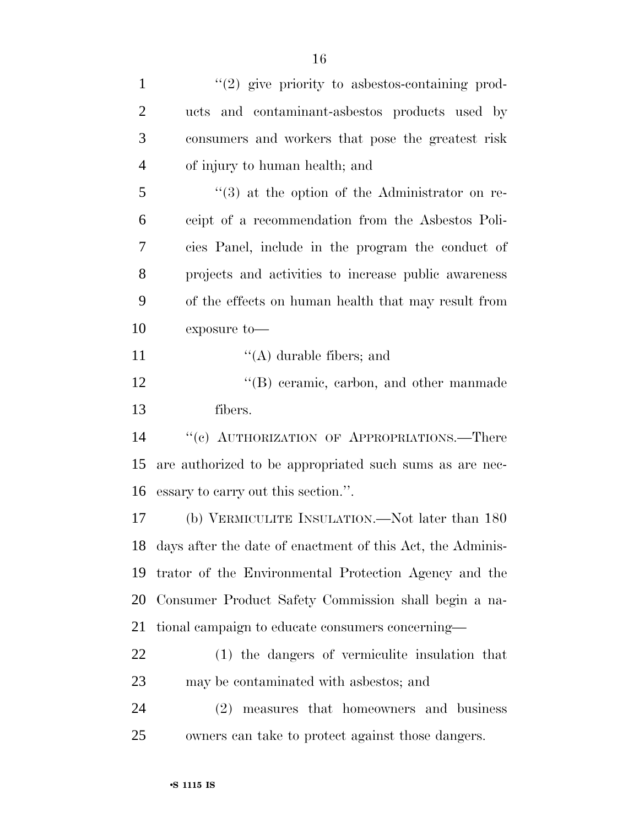| $\mathbf{1}$   | $\lq(2)$ give priority to asbestos-containing prod-            |
|----------------|----------------------------------------------------------------|
| $\overline{2}$ | ucts and contaminant-asbestos products used by                 |
| 3              | consumers and workers that pose the greatest risk              |
| $\overline{4}$ | of injury to human health; and                                 |
| 5              | $\cdot\cdot\cdot(3)$ at the option of the Administrator on re- |
| 6              | ceipt of a recommendation from the Asbestos Poli-              |
| 7              | cies Panel, include in the program the conduct of              |
| 8              | projects and activities to increase public awareness           |
| 9              | of the effects on human health that may result from            |
| 10             | exposure to-                                                   |
| 11             | $\lq\lq$ durable fibers; and                                   |
| 12             | "(B) ceramic, carbon, and other manmade                        |
| 13             | fibers.                                                        |
| 14             | "(c) AUTHORIZATION OF APPROPRIATIONS.—There                    |
| 15             | are authorized to be appropriated such sums as are nec-        |
| 16             | essary to carry out this section.".                            |
| 17             | (b) VERMICULITE INSULATION.—Not later than 180                 |
| 18             | days after the date of enactment of this Act, the Adminis-     |
| 19             | trator of the Environmental Protection Agency and the          |
| 20             | Consumer Product Safety Commission shall begin a na-           |
| 21             | tional campaign to educate consumers concerning—               |
| 22             | (1) the dangers of vermiculite insulation that                 |
| 23             | may be contaminated with asbestos; and                         |
| 24             | measures that homeowners and business<br>(2)                   |
| 25             | owners can take to protect against those dangers.              |
|                |                                                                |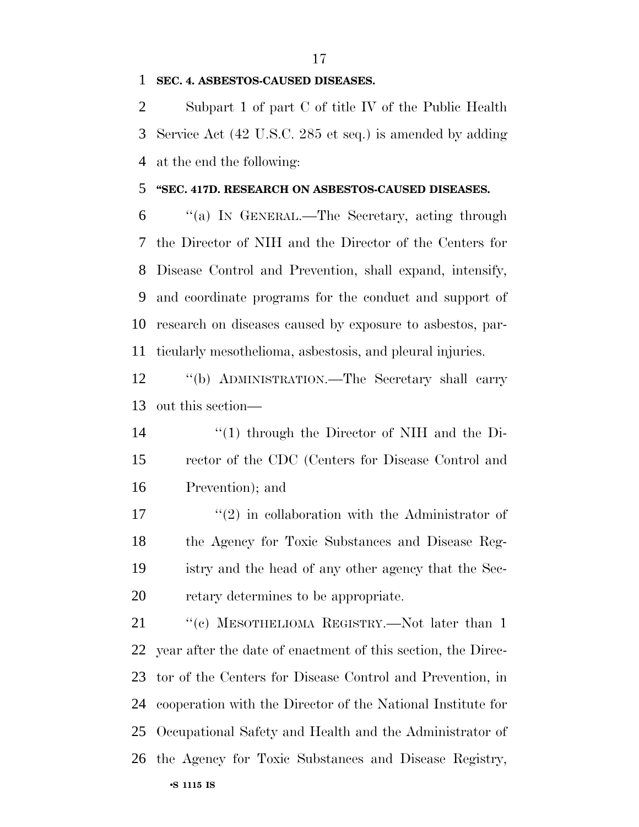#### **SEC. 4. ASBESTOS-CAUSED DISEASES.**

 Subpart 1 of part C of title IV of the Public Health Service Act (42 U.S.C. 285 et seq.) is amended by adding at the end the following:

#### **''SEC. 417D. RESEARCH ON ASBESTOS-CAUSED DISEASES.**

 ''(a) IN GENERAL.—The Secretary, acting through the Director of NIH and the Director of the Centers for Disease Control and Prevention, shall expand, intensify, and coordinate programs for the conduct and support of research on diseases caused by exposure to asbestos, par-ticularly mesothelioma, asbestosis, and pleural injuries.

 ''(b) ADMINISTRATION.—The Secretary shall carry out this section—

 ''(1) through the Director of NIH and the Di- rector of the CDC (Centers for Disease Control and Prevention); and

 $\mathcal{L}^{\prime}(2)$  in collaboration with the Administrator of the Agency for Toxic Substances and Disease Reg- istry and the head of any other agency that the Sec-retary determines to be appropriate.

•**S 1115 IS** 21 "(c) MESOTHELIOMA REGISTRY.—Not later than 1 year after the date of enactment of this section, the Direc- tor of the Centers for Disease Control and Prevention, in cooperation with the Director of the National Institute for Occupational Safety and Health and the Administrator of the Agency for Toxic Substances and Disease Registry,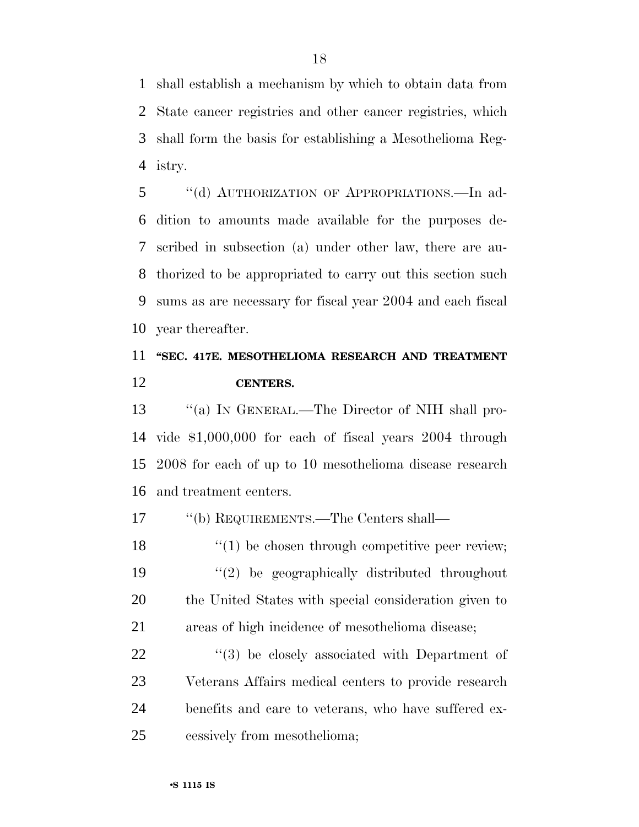shall establish a mechanism by which to obtain data from State cancer registries and other cancer registries, which shall form the basis for establishing a Mesothelioma Reg-istry.

 ''(d) AUTHORIZATION OF APPROPRIATIONS.—In ad- dition to amounts made available for the purposes de- scribed in subsection (a) under other law, there are au- thorized to be appropriated to carry out this section such sums as are necessary for fiscal year 2004 and each fiscal year thereafter.

# **''SEC. 417E. MESOTHELIOMA RESEARCH AND TREATMENT CENTERS.**

 ''(a) IN GENERAL.—The Director of NIH shall pro- vide \$1,000,000 for each of fiscal years 2004 through 2008 for each of up to 10 mesothelioma disease research and treatment centers.

''(b) REQUIREMENTS.—The Centers shall—

18 ''(1) be chosen through competitive peer review; ''(2) be geographically distributed throughout the United States with special consideration given to areas of high incidence of mesothelioma disease;

 $(3)$  be closely associated with Department of Veterans Affairs medical centers to provide research benefits and care to veterans, who have suffered ex-cessively from mesothelioma;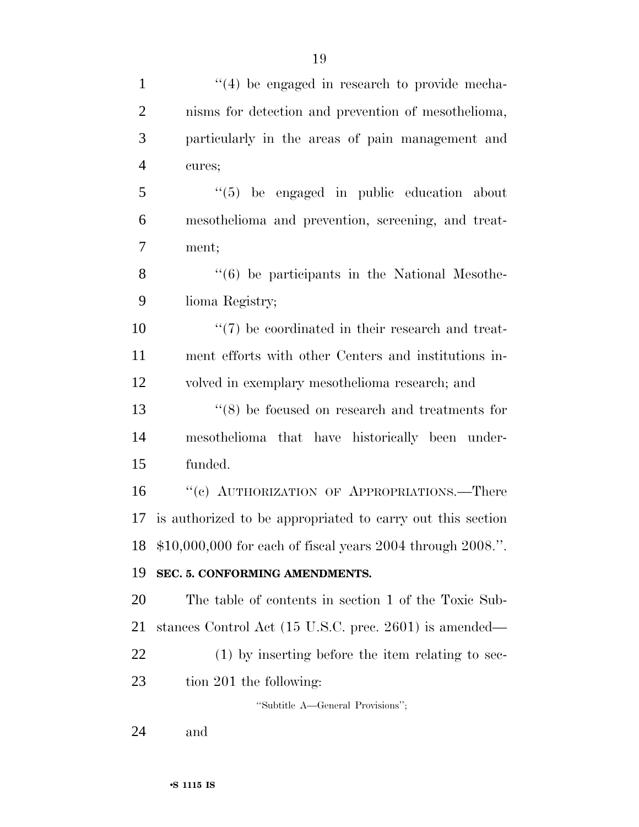| $\mathbf{1}$<br>$\overline{2}$<br>3<br>$\overline{4}$<br>cures;<br>$\mathfrak{S}$<br>6<br>$\tau$<br>ment;<br>8<br>9<br>lioma Registry;<br>volved in exemplary mesothelioma research; and<br>funded.<br>17<br>SEC. 5. CONFORMING AMENDMENTS.<br>tion 201 the following:<br>"Subtitle A—General Provisions";                                                                                                                                                                                                                                                                                                                                                                                                                                                                                                                                             |    |                                                   |
|--------------------------------------------------------------------------------------------------------------------------------------------------------------------------------------------------------------------------------------------------------------------------------------------------------------------------------------------------------------------------------------------------------------------------------------------------------------------------------------------------------------------------------------------------------------------------------------------------------------------------------------------------------------------------------------------------------------------------------------------------------------------------------------------------------------------------------------------------------|----|---------------------------------------------------|
| nisms for detection and prevention of mesothelioma,<br>particularly in the areas of pain management and<br>"(5) be engaged in public education about<br>mesothelioma and prevention, screening, and treat-<br>$\cdot\cdot\cdot(6)$ be participants in the National Mesothe-<br>$\lq(7)$ be coordinated in their research and treat-<br>ment efforts with other Centers and institutions in-<br>$(8)$ be focused on research and treatments for<br>mesothelioma that have historically been under-<br>"(c) AUTHORIZATION OF APPROPRIATIONS.—There<br>is authorized to be appropriated to carry out this section<br>$$10,000,000$ for each of fiscal years 2004 through 2008.".<br>The table of contents in section 1 of the Toxic Sub-<br>stances Control Act (15 U.S.C. prec. 2601) is amended—<br>$(1)$ by inserting before the item relating to sec- |    | $\lq(4)$ be engaged in research to provide mecha- |
|                                                                                                                                                                                                                                                                                                                                                                                                                                                                                                                                                                                                                                                                                                                                                                                                                                                        |    |                                                   |
|                                                                                                                                                                                                                                                                                                                                                                                                                                                                                                                                                                                                                                                                                                                                                                                                                                                        |    |                                                   |
|                                                                                                                                                                                                                                                                                                                                                                                                                                                                                                                                                                                                                                                                                                                                                                                                                                                        |    |                                                   |
|                                                                                                                                                                                                                                                                                                                                                                                                                                                                                                                                                                                                                                                                                                                                                                                                                                                        |    |                                                   |
|                                                                                                                                                                                                                                                                                                                                                                                                                                                                                                                                                                                                                                                                                                                                                                                                                                                        |    |                                                   |
|                                                                                                                                                                                                                                                                                                                                                                                                                                                                                                                                                                                                                                                                                                                                                                                                                                                        |    |                                                   |
|                                                                                                                                                                                                                                                                                                                                                                                                                                                                                                                                                                                                                                                                                                                                                                                                                                                        |    |                                                   |
|                                                                                                                                                                                                                                                                                                                                                                                                                                                                                                                                                                                                                                                                                                                                                                                                                                                        |    |                                                   |
|                                                                                                                                                                                                                                                                                                                                                                                                                                                                                                                                                                                                                                                                                                                                                                                                                                                        | 10 |                                                   |
|                                                                                                                                                                                                                                                                                                                                                                                                                                                                                                                                                                                                                                                                                                                                                                                                                                                        | 11 |                                                   |
|                                                                                                                                                                                                                                                                                                                                                                                                                                                                                                                                                                                                                                                                                                                                                                                                                                                        | 12 |                                                   |
|                                                                                                                                                                                                                                                                                                                                                                                                                                                                                                                                                                                                                                                                                                                                                                                                                                                        | 13 |                                                   |
|                                                                                                                                                                                                                                                                                                                                                                                                                                                                                                                                                                                                                                                                                                                                                                                                                                                        | 14 |                                                   |
|                                                                                                                                                                                                                                                                                                                                                                                                                                                                                                                                                                                                                                                                                                                                                                                                                                                        | 15 |                                                   |
|                                                                                                                                                                                                                                                                                                                                                                                                                                                                                                                                                                                                                                                                                                                                                                                                                                                        | 16 |                                                   |
|                                                                                                                                                                                                                                                                                                                                                                                                                                                                                                                                                                                                                                                                                                                                                                                                                                                        |    |                                                   |
|                                                                                                                                                                                                                                                                                                                                                                                                                                                                                                                                                                                                                                                                                                                                                                                                                                                        | 18 |                                                   |
|                                                                                                                                                                                                                                                                                                                                                                                                                                                                                                                                                                                                                                                                                                                                                                                                                                                        | 19 |                                                   |
|                                                                                                                                                                                                                                                                                                                                                                                                                                                                                                                                                                                                                                                                                                                                                                                                                                                        | 20 |                                                   |
|                                                                                                                                                                                                                                                                                                                                                                                                                                                                                                                                                                                                                                                                                                                                                                                                                                                        | 21 |                                                   |
|                                                                                                                                                                                                                                                                                                                                                                                                                                                                                                                                                                                                                                                                                                                                                                                                                                                        | 22 |                                                   |
|                                                                                                                                                                                                                                                                                                                                                                                                                                                                                                                                                                                                                                                                                                                                                                                                                                                        | 23 |                                                   |
|                                                                                                                                                                                                                                                                                                                                                                                                                                                                                                                                                                                                                                                                                                                                                                                                                                                        |    |                                                   |

and